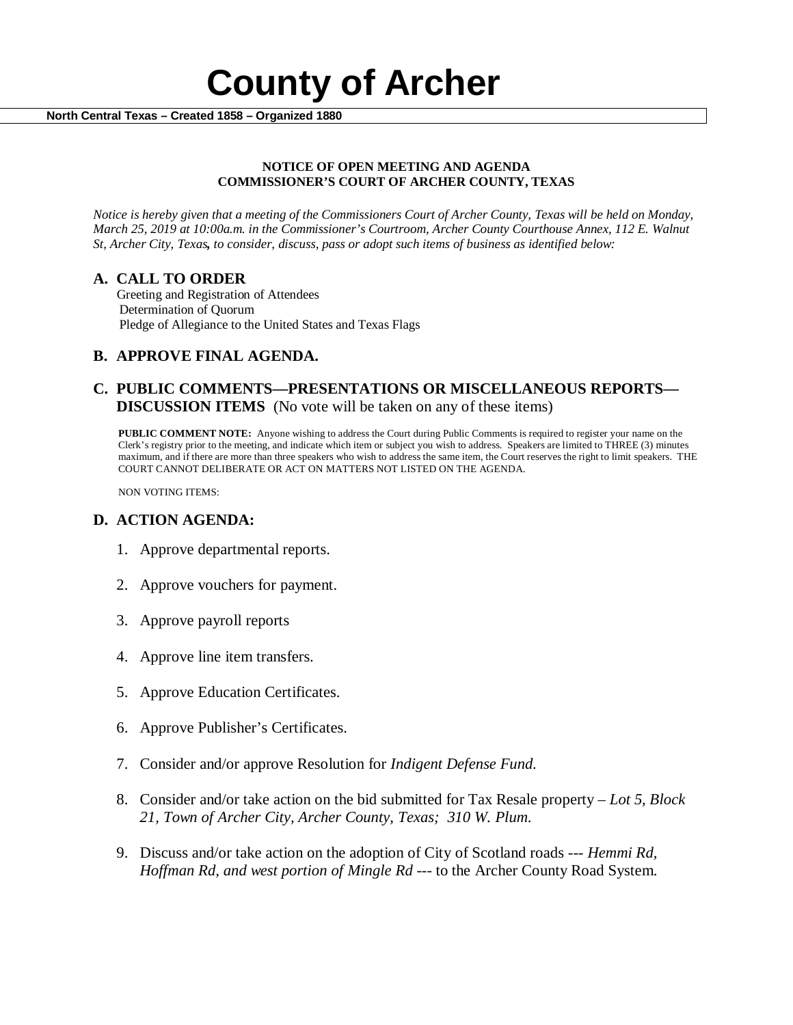

#### **NOTICE OF OPEN MEETING AND AGENDA COMMISSIONER'S COURT OF ARCHER COUNTY, TEXAS**

*Notice is hereby given that a meeting of the Commissioners Court of Archer County, Texas will be held on Monday, March 25, 2019 at 10:00a.m. in the Commissioner's Courtroom, Archer County Courthouse Annex, 112 E. Walnut St, Archer City, Texas, to consider, discuss, pass or adopt such items of business as identified below:*

**A. CALL TO ORDER** Greeting and Registration of Attendees Determination of Quorum Pledge of Allegiance to the United States and Texas Flags

# **B. APPROVE FINAL AGENDA.**

# **C. PUBLIC COMMENTS—PRESENTATIONS OR MISCELLANEOUS REPORTS— DISCUSSION ITEMS** (No vote will be taken on any of these items)

**PUBLIC COMMENT NOTE:** Anyone wishing to address the Court during Public Comments is required to register your name on the Clerk's registry prior to the meeting, and indicate which item or subject you wish to address. Speakers are limited to THREE (3) minutes maximum, and if there are more than three speakers who wish to address the same item, the Court reserves the right to limit speakers. THE COURT CANNOT DELIBERATE OR ACT ON MATTERS NOT LISTED ON THE AGENDA.

NON VOTING ITEMS:

### **D. ACTION AGENDA:**

- 1. Approve departmental reports.
- 2. Approve vouchers for payment.
- 3. Approve payroll reports
- 4. Approve line item transfers.
- 5. Approve Education Certificates.
- 6. Approve Publisher's Certificates.
- 7. Consider and/or approve Resolution for *Indigent Defense Fund.*
- 8. Consider and/or take action on the bid submitted for Tax Resale property *Lot 5, Block 21, Town of Archer City, Archer County, Texas; 310 W. Plum.*
- 9. Discuss and/or take action on the adoption of City of Scotland roads --- *Hemmi Rd, Hoffman Rd, and west portion of Mingle Rd* --- to the Archer County Road System.